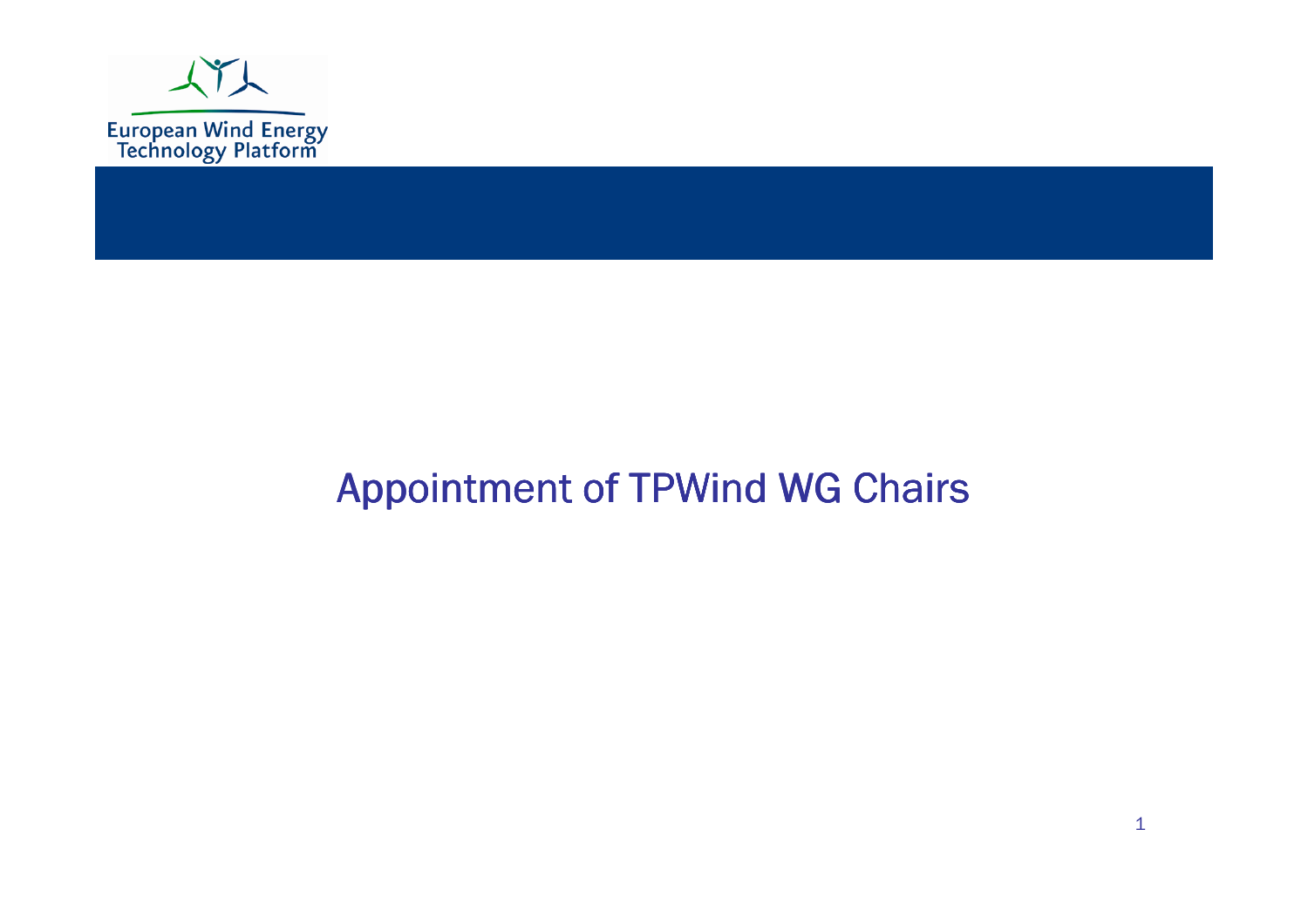

## Appointment of TPWind WG Chairs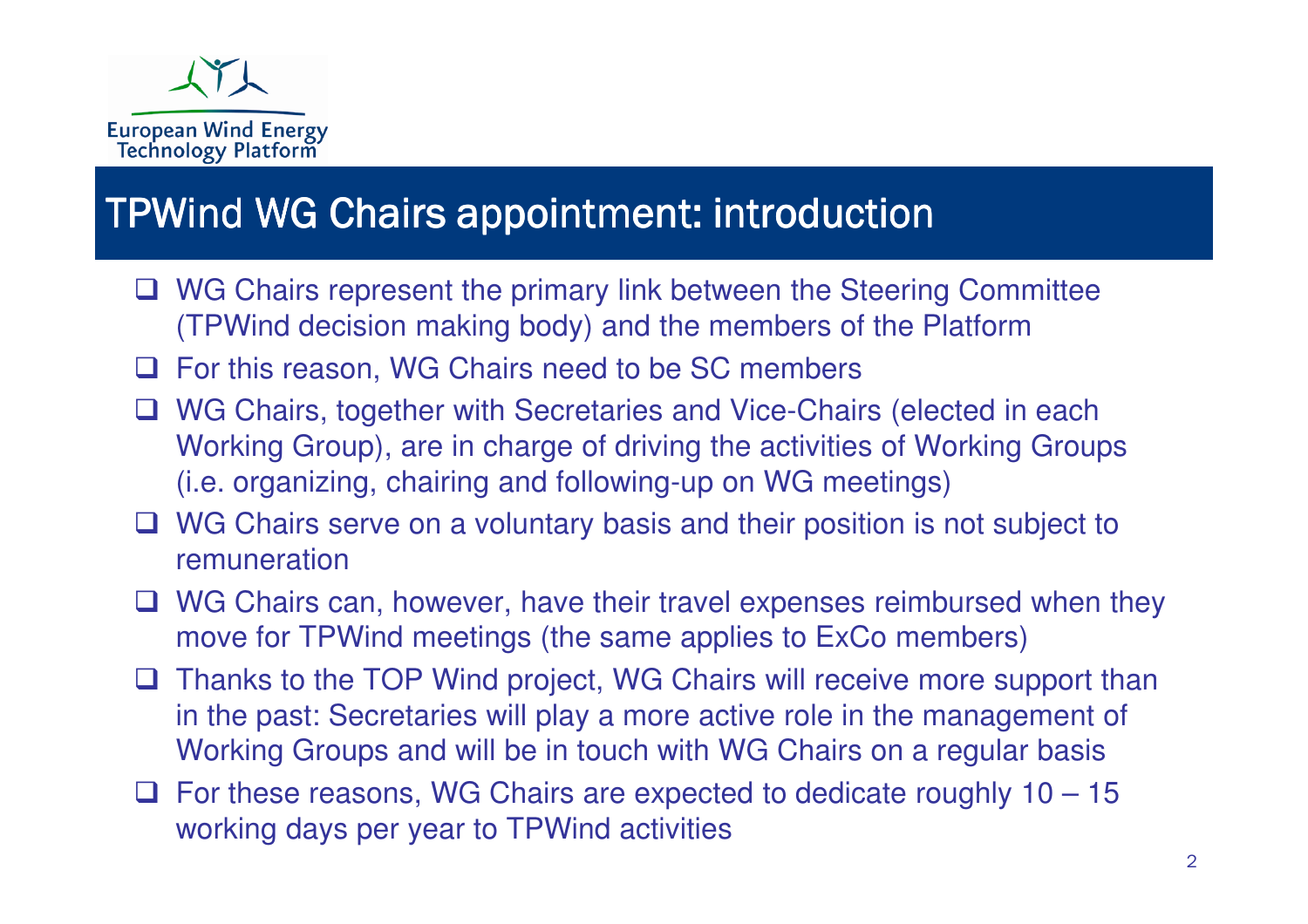

#### TPWind WG Chairs appointment: introduction

- □ WG Chairs represent the primary link between the Steering Committee (TPWind decision making body) and the members of the Platform
- **Q** For this reason, WG Chairs need to be SC members
- □ WG Chairs, together with Secretaries and Vice-Chairs (elected in each<br>Werking Group), are in charge of driving the activities of Werking Group Working Group), are in charge of driving the activities of Working Groups (i.e. organizing, chairing and following-up on WG meetings)
- □ WG Chairs serve on a voluntary basis and their position is not subject to remuneration remuneration
- $\Box$  WG Chairs can, however, have their travel expenses reimbursed when they move for  $TD$  lind mostings (the same applies to  $ExCo$  mombors) move for TPWind meetings (the same applies to ExCo members)
- $\Box$  Thanks to the TOP Wind project, WG Chairs will receive more support than in the past: Secretaries will play a more active role in the management of Working Groups and will be in touch with WG Chairs on a regular basis
- $\Box$  For these reasons, WG Chairs are expected to dedicate roughly  $10 15$ <br>working days per vear to TPWind activities working days per year to TPWind activities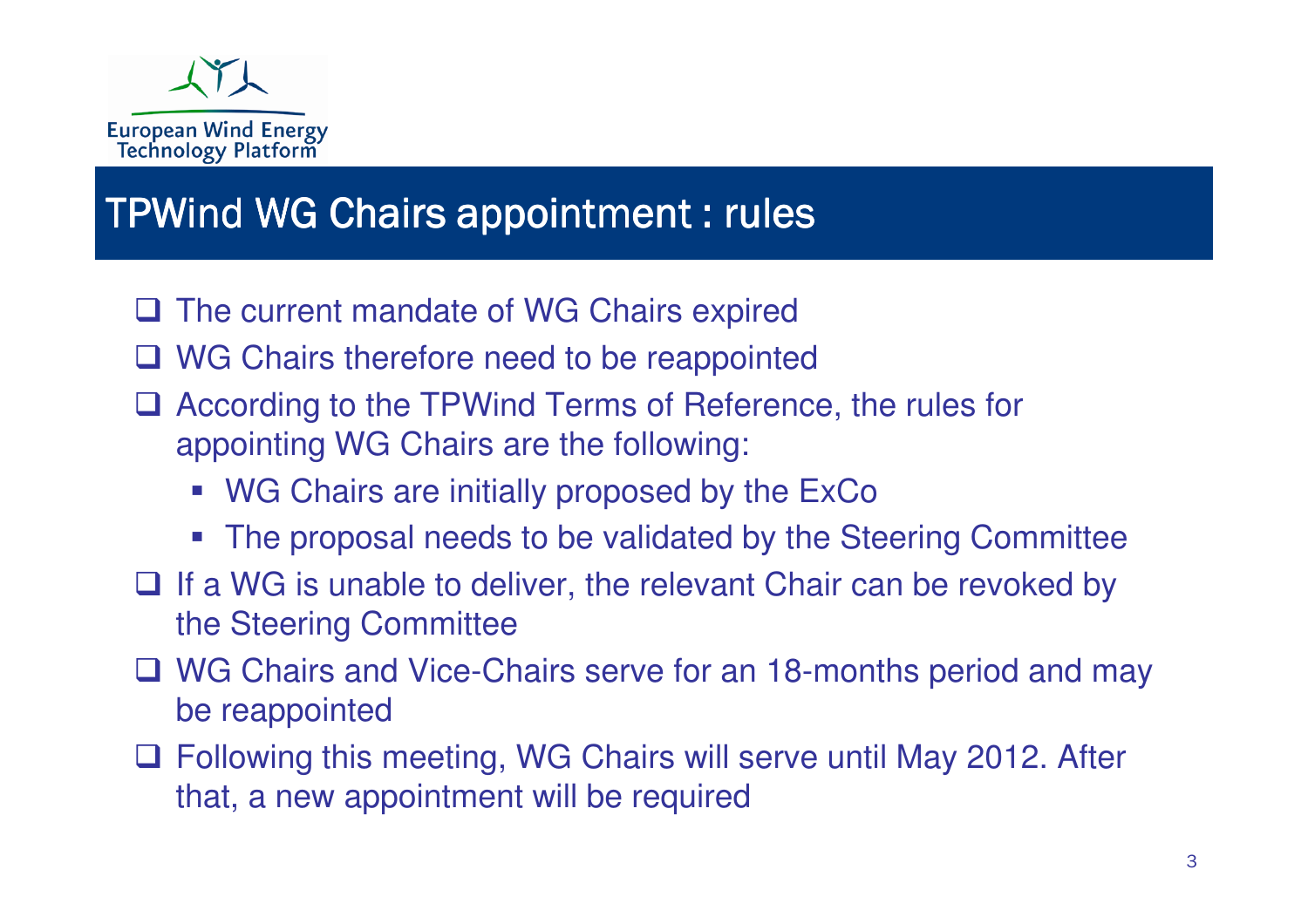

#### TPWind WG Chairs appointment : rules

- **The current mandate of WG Chairs expired**
- $\Box$  WG Chairs therefore need to be reappointed
- □ According to the TPWind Terms of Reference, the rules for<br>appointing WG Chairs are the following: appointing WG Chairs are the following:
	- WG Chairs are initially proposed by the ExCo
	- The proposal needs to be validated by the Steering Committee
- $\Box$  If a WG is unable to deliver, the relevant Chair can be revoked by the Steering Committee the Steering Committee
- □ WG Chairs and Vice-Chairs serve for an 18-months period and may<br>be reappointed be reappointed
- □ Following this meeting, WG Chairs will serve until May 2012. After that, a new appointment will be required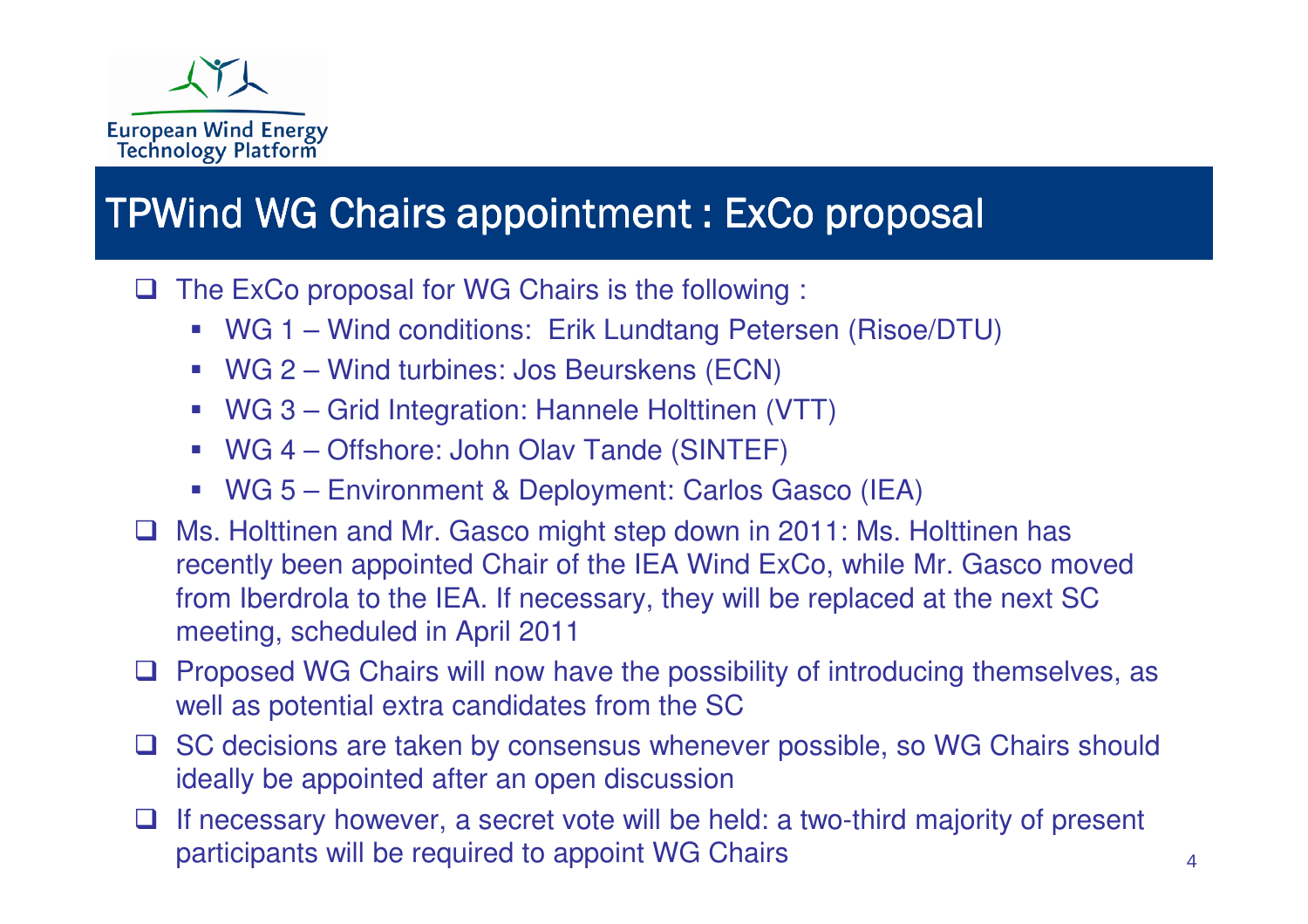

### TPWind WG Chairs appointment : ExCo proposal

 $\Box$ The ExCo proposal for WG Chairs is the following :

- WG 1 Wind conditions: Erik Lundtang Petersen (Risoe/DTU)
- WG 2 Wind turbines: Jos Beurskens (ECN)
- WG 3 Grid Integration: Hannele Holttinen (VTT)
- WG 4 Offshore: John Olav Tande (SINTEF)
- WG 5 Environment & Deployment: Carlos Gasco (IEA)
- $\Box$  Ms. Holttinen and Mr. Gasco might step down in 2011: Ms. Holttinen has recently been appointed Chair of the IEA Wind ExCo, while Mr. Gasco moved from Iberdrola to the IEA. If necessary, they will be replaced at the next SC meeting, scheduled in April 2011
- $\Box$  Proposed WG Chairs will now have the possibility of introducing themselves, as well as potential extra candidates from the SC well as potential extra candidates from the SC
- $\Box$  SC decisions are taken by consensus whenever possible, so WG Chairs should ideally be appointed after an energies discussion ideally be appointed after an open discussion
- $\Box$  If necessary however, a secret vote will be held: a two-third majority of present participants will be required to appoint WG Chairs